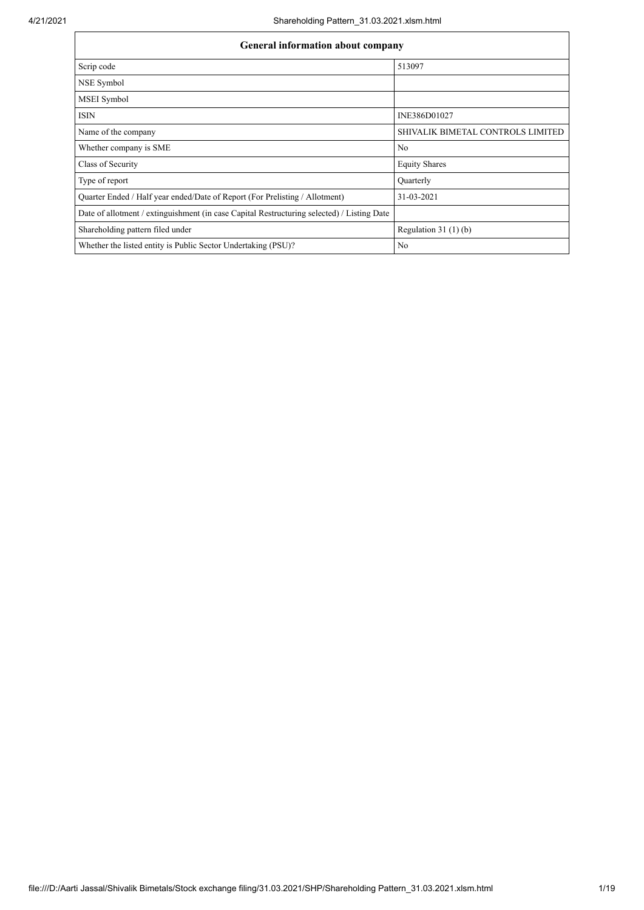| General information about company                                                          |                                   |  |  |  |  |  |  |  |
|--------------------------------------------------------------------------------------------|-----------------------------------|--|--|--|--|--|--|--|
| Scrip code                                                                                 | 513097                            |  |  |  |  |  |  |  |
| NSE Symbol                                                                                 |                                   |  |  |  |  |  |  |  |
| MSEI Symbol                                                                                |                                   |  |  |  |  |  |  |  |
| <b>ISIN</b>                                                                                | INE386D01027                      |  |  |  |  |  |  |  |
| Name of the company                                                                        | SHIVALIK BIMETAL CONTROLS LIMITED |  |  |  |  |  |  |  |
| Whether company is SME                                                                     | No                                |  |  |  |  |  |  |  |
| Class of Security                                                                          | <b>Equity Shares</b>              |  |  |  |  |  |  |  |
| Type of report                                                                             | Quarterly                         |  |  |  |  |  |  |  |
| Quarter Ended / Half year ended/Date of Report (For Prelisting / Allotment)                | 31-03-2021                        |  |  |  |  |  |  |  |
| Date of allotment / extinguishment (in case Capital Restructuring selected) / Listing Date |                                   |  |  |  |  |  |  |  |
| Shareholding pattern filed under                                                           | Regulation $31(1)(b)$             |  |  |  |  |  |  |  |
| Whether the listed entity is Public Sector Undertaking (PSU)?                              | No                                |  |  |  |  |  |  |  |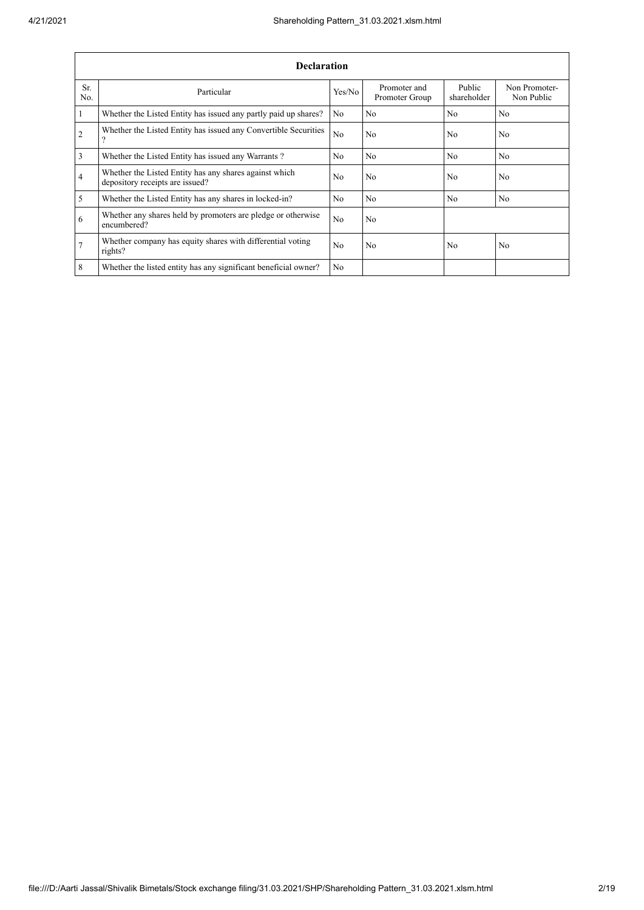|                | <b>Declaration</b>                                                                        |                |                                |                       |                             |  |  |  |  |  |  |  |
|----------------|-------------------------------------------------------------------------------------------|----------------|--------------------------------|-----------------------|-----------------------------|--|--|--|--|--|--|--|
| Sr.<br>No.     | Particular                                                                                | Yes/No         | Promoter and<br>Promoter Group | Public<br>shareholder | Non Promoter-<br>Non Public |  |  |  |  |  |  |  |
| $\mathbf{1}$   | Whether the Listed Entity has issued any partly paid up shares?                           | N <sub>o</sub> | N <sub>o</sub>                 | N <sub>o</sub>        | N <sub>o</sub>              |  |  |  |  |  |  |  |
| $\mathfrak{2}$ | Whether the Listed Entity has issued any Convertible Securities<br>$\Omega$               | N <sub>o</sub> | N <sub>o</sub>                 | N <sub>0</sub>        | N <sub>o</sub>              |  |  |  |  |  |  |  |
| 3              | Whether the Listed Entity has issued any Warrants?                                        | N <sub>0</sub> | N <sub>o</sub>                 | N <sub>0</sub>        | No                          |  |  |  |  |  |  |  |
| $\overline{4}$ | Whether the Listed Entity has any shares against which<br>depository receipts are issued? | N <sub>0</sub> | N <sub>o</sub>                 | N <sub>0</sub>        | N <sub>0</sub>              |  |  |  |  |  |  |  |
| 5              | Whether the Listed Entity has any shares in locked-in?                                    | No             | N <sub>o</sub>                 | N <sub>o</sub>        | N <sub>o</sub>              |  |  |  |  |  |  |  |
| 6              | Whether any shares held by promoters are pledge or otherwise<br>encumbered?               | No             | N <sub>o</sub>                 |                       |                             |  |  |  |  |  |  |  |
| $\overline{7}$ | Whether company has equity shares with differential voting<br>rights?                     | N <sub>0</sub> | N <sub>o</sub>                 | N <sub>o</sub>        | N <sub>o</sub>              |  |  |  |  |  |  |  |
| 8              | Whether the listed entity has any significant beneficial owner?                           | N <sub>0</sub> |                                |                       |                             |  |  |  |  |  |  |  |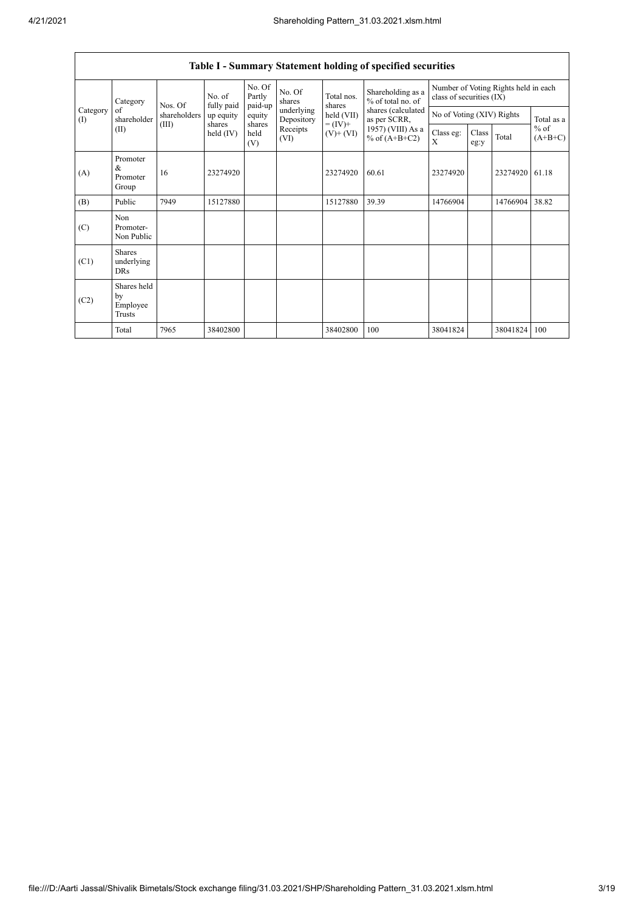|                          |                                           |                                                                    |           |                             |                          |                                    | Table I - Summary Statement holding of specified securities                  |                                                                  |                           |          |                     |
|--------------------------|-------------------------------------------|--------------------------------------------------------------------|-----------|-----------------------------|--------------------------|------------------------------------|------------------------------------------------------------------------------|------------------------------------------------------------------|---------------------------|----------|---------------------|
|                          | Category<br>of<br>shareholder<br>(II)     | No. of<br>Nos. Of<br>fully paid<br>shareholders<br>(III)<br>shares |           | No. Of<br>Partly<br>paid-up | No. Of<br>shares         | Total nos.<br>shares<br>held (VII) | Shareholding as a<br>% of total no. of<br>shares (calculated<br>as per SCRR, | Number of Voting Rights held in each<br>class of securities (IX) |                           |          |                     |
| Category<br>$($ $\Gamma$ |                                           |                                                                    | up equity | equity                      | underlying<br>Depository |                                    |                                                                              |                                                                  | No of Voting (XIV) Rights |          | Total as a          |
|                          |                                           |                                                                    | held (IV) | shares<br>held<br>(V)       | Receipts<br>(VI)         | $= (IV) +$<br>$(V)$ + $(VI)$       | 1957) (VIII) As a<br>% of $(A+B+C2)$                                         | Class eg:<br>X                                                   | Class<br>eg:y             | Total    | $%$ of<br>$(A+B+C)$ |
| (A)                      | Promoter<br>&<br>Promoter<br>Group        | 16                                                                 | 23274920  |                             |                          | 23274920                           | 60.61                                                                        | 23274920                                                         |                           | 23274920 | 61.18               |
| (B)                      | Public                                    | 7949                                                               | 15127880  |                             |                          | 15127880                           | 39.39                                                                        | 14766904                                                         |                           | 14766904 | 38.82               |
| (C)                      | Non<br>Promoter-<br>Non Public            |                                                                    |           |                             |                          |                                    |                                                                              |                                                                  |                           |          |                     |
| (C1)                     | <b>Shares</b><br>underlying<br><b>DRs</b> |                                                                    |           |                             |                          |                                    |                                                                              |                                                                  |                           |          |                     |
| (C2)                     | Shares held<br>by<br>Employee<br>Trusts   |                                                                    |           |                             |                          |                                    |                                                                              |                                                                  |                           |          |                     |
|                          | Total                                     | 7965                                                               | 38402800  |                             |                          | 38402800                           | 100                                                                          | 38041824                                                         |                           | 38041824 | 100                 |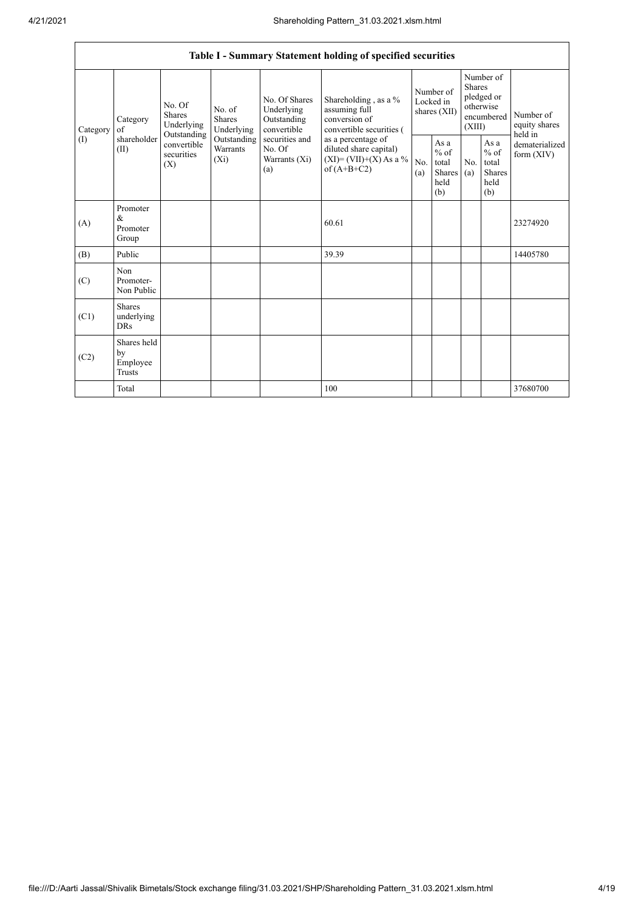|                                        |                                                |                                                                                                                                                                  |                                                           |                                                                                    | Table I - Summary Statement holding of specified securities                                |            |                                                                               |            |                                                         |                                |
|----------------------------------------|------------------------------------------------|------------------------------------------------------------------------------------------------------------------------------------------------------------------|-----------------------------------------------------------|------------------------------------------------------------------------------------|--------------------------------------------------------------------------------------------|------------|-------------------------------------------------------------------------------|------------|---------------------------------------------------------|--------------------------------|
| Category<br>$\left( \mathrm{I}\right)$ | Category<br>of<br>shareholder<br>(II)<br>(X)   | No. Of<br>No. of<br><b>Shares</b><br><b>Shares</b><br>Underlying<br>Underlying<br>Outstanding<br>Outstanding<br>convertible<br>Warrants<br>securities<br>$(X_i)$ | No. Of Shares<br>Underlying<br>Outstanding<br>convertible | Shareholding, as a %<br>assuming full<br>conversion of<br>convertible securities ( | Number of<br>Locked in<br>shares (XII)                                                     |            | Number of<br><b>Shares</b><br>pledged or<br>otherwise<br>encumbered<br>(XIII) |            | Number of<br>equity shares<br>held in                   |                                |
|                                        |                                                |                                                                                                                                                                  |                                                           | securities and<br>No. Of<br>Warrants (Xi)<br>(a)                                   | as a percentage of<br>diluted share capital)<br>$(XI) = (VII)+(X) As a %$<br>of $(A+B+C2)$ | No.<br>(a) | As a<br>$%$ of<br>total<br>Shares<br>held<br>(b)                              | No.<br>(a) | As a<br>$%$ of<br>total<br><b>Shares</b><br>held<br>(b) | dematerialized<br>form $(XIV)$ |
| (A)                                    | Promoter<br>&<br>Promoter<br>Group             |                                                                                                                                                                  |                                                           |                                                                                    | 60.61                                                                                      |            |                                                                               |            |                                                         | 23274920                       |
| (B)                                    | Public                                         |                                                                                                                                                                  |                                                           |                                                                                    | 39.39                                                                                      |            |                                                                               |            |                                                         | 14405780                       |
| (C)                                    | Non<br>Promoter-<br>Non Public                 |                                                                                                                                                                  |                                                           |                                                                                    |                                                                                            |            |                                                                               |            |                                                         |                                |
| (C1)                                   | <b>Shares</b><br>underlying<br><b>DRs</b>      |                                                                                                                                                                  |                                                           |                                                                                    |                                                                                            |            |                                                                               |            |                                                         |                                |
| (C2)                                   | Shares held<br>by<br>Employee<br><b>Trusts</b> |                                                                                                                                                                  |                                                           |                                                                                    |                                                                                            |            |                                                                               |            |                                                         |                                |
|                                        | Total                                          |                                                                                                                                                                  |                                                           |                                                                                    | 100                                                                                        |            |                                                                               |            |                                                         | 37680700                       |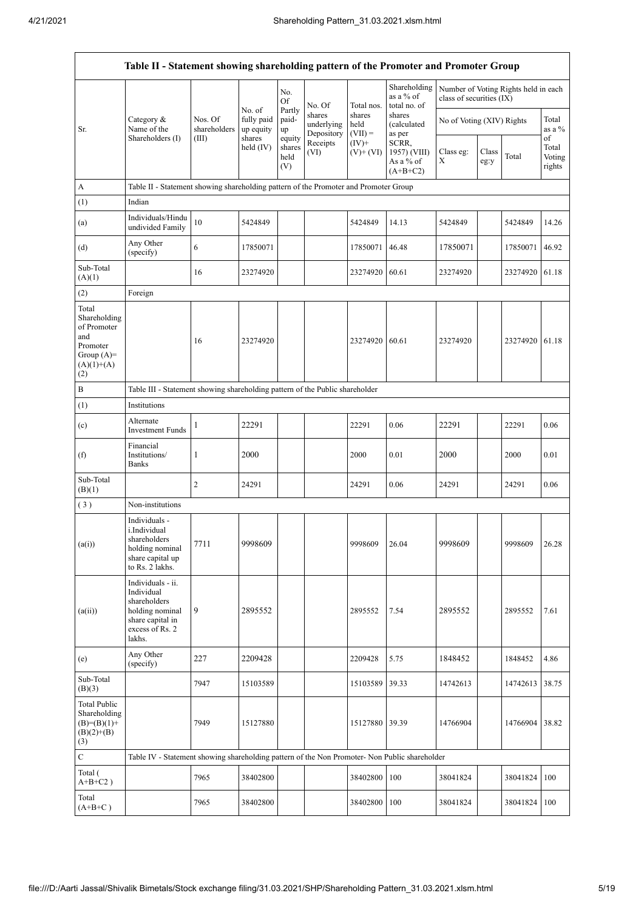|                                                                                                | Table II - Statement showing shareholding pattern of the Promoter and Promoter Group                                |                         |                         |                                 |                                    |                             |                                                  |                                                                  |               |                |                                 |
|------------------------------------------------------------------------------------------------|---------------------------------------------------------------------------------------------------------------------|-------------------------|-------------------------|---------------------------------|------------------------------------|-----------------------------|--------------------------------------------------|------------------------------------------------------------------|---------------|----------------|---------------------------------|
|                                                                                                |                                                                                                                     |                         | No. of                  | No.<br><b>Of</b><br>Partly      | No. Of                             | Total nos.                  | Shareholding<br>as a % of<br>total no. of        | Number of Voting Rights held in each<br>class of securities (IX) |               |                |                                 |
| Sr.                                                                                            | Category &<br>Name of the                                                                                           | Nos. Of<br>shareholders | fully paid<br>up equity | paid-<br>up                     | shares<br>underlying<br>Depository | shares<br>held<br>$(VII) =$ | shares<br>(calculated<br>as per                  | No of Voting (XIV) Rights                                        |               |                | Total<br>as a %                 |
|                                                                                                | Shareholders (I)                                                                                                    | (III)                   | shares<br>held $(IV)$   | equity<br>shares<br>held<br>(V) | Receipts<br>(VI)                   | $(IV)+$<br>$(V)$ + $(VI)$   | SCRR,<br>1957) (VIII)<br>As a % of<br>$(A+B+C2)$ | Class eg:<br>X                                                   | Class<br>eg:y | Total          | of<br>Total<br>Voting<br>rights |
| A                                                                                              | Table II - Statement showing shareholding pattern of the Promoter and Promoter Group                                |                         |                         |                                 |                                    |                             |                                                  |                                                                  |               |                |                                 |
| (1)                                                                                            | Indian                                                                                                              |                         |                         |                                 |                                    |                             |                                                  |                                                                  |               |                |                                 |
| (a)                                                                                            | Individuals/Hindu<br>undivided Family                                                                               | 10                      | 5424849                 |                                 |                                    | 5424849                     | 14.13                                            | 5424849                                                          |               | 5424849        | 14.26                           |
| (d)                                                                                            | Any Other<br>(specify)                                                                                              | 6                       | 17850071                |                                 |                                    | 17850071                    | 46.48                                            | 17850071                                                         |               | 17850071       | 46.92                           |
| Sub-Total<br>(A)(1)                                                                            |                                                                                                                     | 16                      | 23274920                |                                 |                                    | 23274920                    | 60.61                                            | 23274920                                                         |               | 23274920 61.18 |                                 |
| (2)                                                                                            | Foreign                                                                                                             |                         |                         |                                 |                                    |                             |                                                  |                                                                  |               |                |                                 |
| Total<br>Shareholding<br>of Promoter<br>and<br>Promoter<br>Group $(A)=$<br>$(A)(1)+(A)$<br>(2) |                                                                                                                     | 16                      | 23274920                |                                 |                                    | 23274920                    | 60.61                                            | 23274920                                                         |               | 23274920       | 61.18                           |
| $\, {\bf B}$                                                                                   | Table III - Statement showing shareholding pattern of the Public shareholder                                        |                         |                         |                                 |                                    |                             |                                                  |                                                                  |               |                |                                 |
| (1)                                                                                            | Institutions                                                                                                        |                         |                         |                                 |                                    |                             |                                                  |                                                                  |               |                |                                 |
| (c)                                                                                            | Alternate<br><b>Investment Funds</b>                                                                                | 1                       | 22291                   |                                 |                                    | 22291                       | 0.06                                             | 22291                                                            |               | 22291          | 0.06                            |
| (f)                                                                                            | Financial<br>Institutions/<br><b>Banks</b>                                                                          | 1                       | 2000                    |                                 |                                    | 2000                        | 0.01                                             | 2000                                                             |               | 2000           | 0.01                            |
| Sub-Total<br>(B)(1)                                                                            |                                                                                                                     | 2                       | 24291                   |                                 |                                    | 24291                       | 0.06                                             | 24291                                                            |               | 24291          | 0.06                            |
| (3)                                                                                            | Non-institutions                                                                                                    |                         |                         |                                 |                                    |                             |                                                  |                                                                  |               |                |                                 |
| (a(i))                                                                                         | Individuals -<br>i.Individual<br>shareholders<br>holding nominal<br>share capital up<br>to Rs. 2 lakhs.             | 7711                    | 9998609                 |                                 |                                    | 9998609                     | 26.04                                            | 9998609                                                          |               | 9998609        | 26.28                           |
| (a(ii))                                                                                        | Individuals - ii.<br>Individual<br>shareholders<br>holding nominal<br>share capital in<br>excess of Rs. 2<br>lakhs. | 9                       | 2895552                 |                                 |                                    | 2895552                     | 7.54                                             | 2895552                                                          |               | 2895552        | 7.61                            |
| (e)                                                                                            | Any Other<br>(specify)                                                                                              | 227                     | 2209428                 |                                 |                                    | 2209428                     | 5.75                                             | 1848452                                                          |               | 1848452        | 4.86                            |
| Sub-Total<br>(B)(3)                                                                            |                                                                                                                     | 7947                    | 15103589                |                                 |                                    | 15103589                    | 39.33                                            | 14742613                                                         |               | 14742613       | 38.75                           |
| Total Public<br>Shareholding<br>$(B)=(B)(1)+$<br>$(B)(2)+(B)$<br>(3)                           |                                                                                                                     | 7949                    | 15127880                |                                 |                                    | 15127880 39.39              |                                                  | 14766904                                                         |               | 14766904 38.82 |                                 |
| $\mathbf C$                                                                                    | Table IV - Statement showing shareholding pattern of the Non Promoter- Non Public shareholder                       |                         |                         |                                 |                                    |                             |                                                  |                                                                  |               |                |                                 |
| Total (<br>$A+B+C2$ )                                                                          |                                                                                                                     | 7965                    | 38402800                |                                 |                                    | 38402800                    | 100                                              | 38041824                                                         |               | 38041824       | 100                             |
| Total<br>$(A+B+C)$                                                                             |                                                                                                                     | 7965                    | 38402800                |                                 |                                    | 38402800                    | 100                                              | 38041824                                                         |               | 38041824 100   |                                 |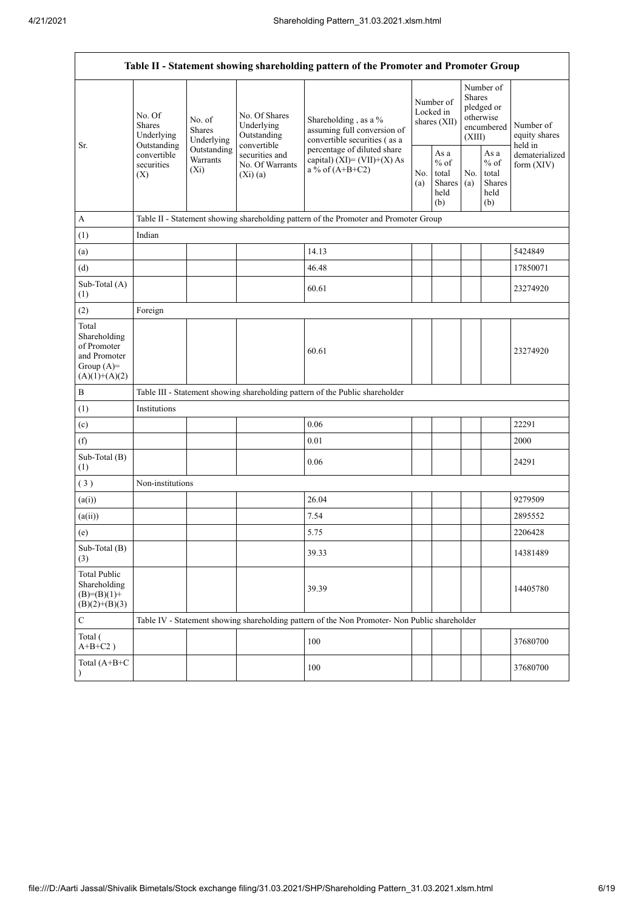|                                                                                         |                                                      |                                           |                                                           | Table II - Statement showing shareholding pattern of the Promoter and Promoter Group                                                                                      |  |                                                  |            |                                                                               |                                       |
|-----------------------------------------------------------------------------------------|------------------------------------------------------|-------------------------------------------|-----------------------------------------------------------|---------------------------------------------------------------------------------------------------------------------------------------------------------------------------|--|--------------------------------------------------|------------|-------------------------------------------------------------------------------|---------------------------------------|
| Sr.                                                                                     | No. Of<br><b>Shares</b><br>Underlying<br>Outstanding | No. of<br><b>Shares</b><br>Underlying     | No. Of Shares<br>Underlying<br>Outstanding<br>convertible | Shareholding, as a %<br>assuming full conversion of<br>convertible securities (as a<br>percentage of diluted share<br>capital) $(XI) = (VII)+(X) As$<br>a % of $(A+B+C2)$ |  | Number of<br>Locked in<br>shares (XII)           |            | Number of<br><b>Shares</b><br>pledged or<br>otherwise<br>encumbered<br>(XIII) | Number of<br>equity shares<br>held in |
|                                                                                         | convertible<br>securities<br>(X)                     | Outstanding<br><b>Warrants</b><br>$(X_i)$ | securities and<br>No. Of Warrants<br>$(Xi)$ $(a)$         |                                                                                                                                                                           |  | As a<br>$%$ of<br>total<br>Shares<br>held<br>(b) | No.<br>(a) | As $\mathbf{a}$<br>$%$ of<br>total<br>Shares<br>held<br>(b)                   | dematerialized<br>form $(XIV)$        |
| A                                                                                       |                                                      |                                           |                                                           | Table II - Statement showing shareholding pattern of the Promoter and Promoter Group                                                                                      |  |                                                  |            |                                                                               |                                       |
| (1)                                                                                     | Indian                                               |                                           |                                                           |                                                                                                                                                                           |  |                                                  |            |                                                                               |                                       |
| (a)                                                                                     |                                                      |                                           |                                                           | 14.13                                                                                                                                                                     |  |                                                  |            |                                                                               | 5424849                               |
| (d)                                                                                     |                                                      |                                           |                                                           | 46.48                                                                                                                                                                     |  |                                                  |            |                                                                               | 17850071                              |
| Sub-Total (A)<br>(1)                                                                    |                                                      |                                           |                                                           | 60.61                                                                                                                                                                     |  |                                                  |            |                                                                               | 23274920                              |
| (2)                                                                                     | Foreign                                              |                                           |                                                           |                                                                                                                                                                           |  |                                                  |            |                                                                               |                                       |
| Total<br>Shareholding<br>of Promoter<br>and Promoter<br>Group $(A)=$<br>$(A)(1)+(A)(2)$ |                                                      |                                           |                                                           | 60.61                                                                                                                                                                     |  |                                                  |            |                                                                               | 23274920                              |
| $\, {\bf B}$                                                                            |                                                      |                                           |                                                           | Table III - Statement showing shareholding pattern of the Public shareholder                                                                                              |  |                                                  |            |                                                                               |                                       |
| (1)                                                                                     | Institutions                                         |                                           |                                                           |                                                                                                                                                                           |  |                                                  |            |                                                                               |                                       |
| (c)                                                                                     |                                                      |                                           |                                                           | 0.06                                                                                                                                                                      |  |                                                  |            |                                                                               | 22291                                 |
| (f)                                                                                     |                                                      |                                           |                                                           | 0.01                                                                                                                                                                      |  |                                                  |            |                                                                               | 2000                                  |
| Sub-Total (B)<br>(1)                                                                    |                                                      |                                           |                                                           | 0.06                                                                                                                                                                      |  |                                                  |            |                                                                               | 24291                                 |
| (3)                                                                                     | Non-institutions                                     |                                           |                                                           |                                                                                                                                                                           |  |                                                  |            |                                                                               |                                       |
| (a(i))                                                                                  |                                                      |                                           |                                                           | 26.04                                                                                                                                                                     |  |                                                  |            |                                                                               | 9279509                               |
| (a(ii))                                                                                 |                                                      |                                           |                                                           | 7.54                                                                                                                                                                      |  |                                                  |            |                                                                               | 2895552                               |
| (e)                                                                                     |                                                      |                                           |                                                           | 5.75                                                                                                                                                                      |  |                                                  |            |                                                                               | 2206428                               |
| Sub-Total (B)<br>(3)                                                                    |                                                      |                                           |                                                           | 39.33                                                                                                                                                                     |  |                                                  |            |                                                                               | 14381489                              |
| <b>Total Public</b><br>Shareholding<br>$(B)=(B)(1)+$<br>$(B)(2)+(B)(3)$                 |                                                      |                                           |                                                           | 39.39                                                                                                                                                                     |  |                                                  |            |                                                                               | 14405780                              |
| $\mathbf C$                                                                             |                                                      |                                           |                                                           | Table IV - Statement showing shareholding pattern of the Non Promoter- Non Public shareholder                                                                             |  |                                                  |            |                                                                               |                                       |
| Total (<br>$A+B+C2$ )                                                                   |                                                      |                                           |                                                           | 100                                                                                                                                                                       |  |                                                  |            |                                                                               | 37680700                              |
| Total (A+B+C                                                                            |                                                      |                                           |                                                           | 100                                                                                                                                                                       |  |                                                  |            |                                                                               | 37680700                              |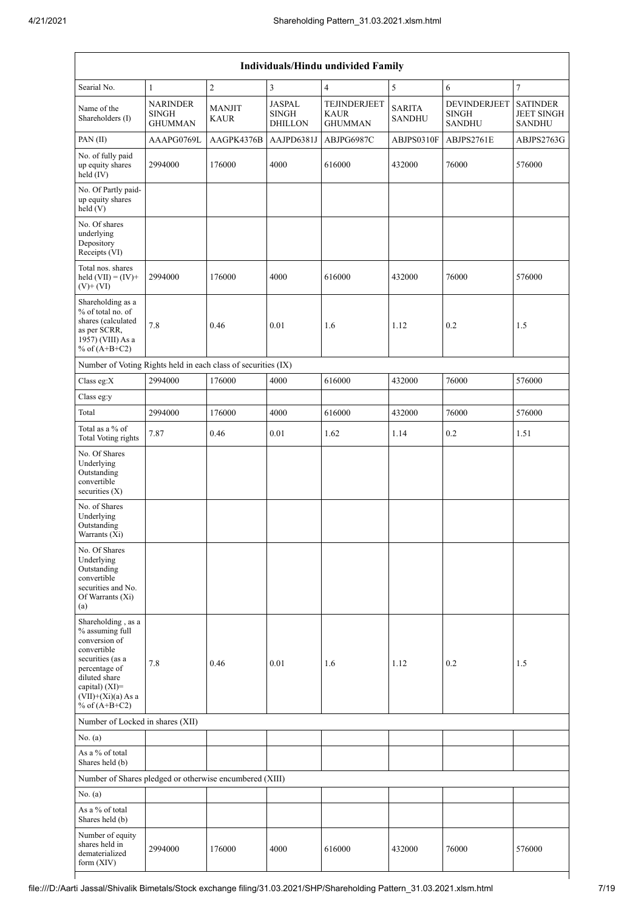| Individuals/Hindu undivided Family                                                                                   |                                                   |                              |                                                 |                                                      |                                |                                                      |                                                       |  |  |  |  |
|----------------------------------------------------------------------------------------------------------------------|---------------------------------------------------|------------------------------|-------------------------------------------------|------------------------------------------------------|--------------------------------|------------------------------------------------------|-------------------------------------------------------|--|--|--|--|
| Searial No.                                                                                                          | $\mathbf{1}$                                      | $\sqrt{2}$                   | 3                                               | $\overline{4}$                                       | 5                              | 6                                                    | $\overline{7}$                                        |  |  |  |  |
| Name of the<br>Shareholders (I)                                                                                      | <b>NARINDER</b><br><b>SINGH</b><br><b>GHUMMAN</b> | <b>MANJIT</b><br><b>KAUR</b> | <b>JASPAL</b><br><b>SINGH</b><br><b>DHILLON</b> | <b>TEJINDERJEET</b><br><b>KAUR</b><br><b>GHUMMAN</b> | <b>SARITA</b><br><b>SANDHU</b> | <b>DEVINDERJEET</b><br><b>SINGH</b><br><b>SANDHU</b> | <b>SATINDER</b><br><b>JEET SINGH</b><br><b>SANDHU</b> |  |  |  |  |
| PAN (II)                                                                                                             | AAAPG0769L                                        | AAGPK4376B                   | AAJPD6381J                                      | ABJPG6987C                                           | ABJPS0310F                     | ABJPS2761E                                           | ABJPS2763G                                            |  |  |  |  |
| No. of fully paid<br>up equity shares<br>$\text{held}(\text{IV})$                                                    | 2994000                                           | 176000                       | 4000                                            | 616000                                               | 432000                         | 76000                                                | 576000                                                |  |  |  |  |
| No. Of Partly paid-<br>up equity shares<br>held (V)                                                                  |                                                   |                              |                                                 |                                                      |                                |                                                      |                                                       |  |  |  |  |
| No. Of shares<br>underlying<br>Depository<br>Receipts (VI)                                                           |                                                   |                              |                                                 |                                                      |                                |                                                      |                                                       |  |  |  |  |
| Total nos. shares<br>held $(VII) = (IV) +$<br>$(V)$ + $(VI)$                                                         | 2994000                                           | 176000                       | 4000                                            | 616000                                               | 432000                         | 76000                                                | 576000                                                |  |  |  |  |
| Shareholding as a<br>% of total no. of<br>shares (calculated<br>as per SCRR,<br>1957) (VIII) As a<br>% of $(A+B+C2)$ | 7.8                                               | 0.46                         | 0.01                                            | 1.6                                                  | 1.12                           | 0.2                                                  | 1.5                                                   |  |  |  |  |
| Number of Voting Rights held in each class of securities (IX)                                                        |                                                   |                              |                                                 |                                                      |                                |                                                      |                                                       |  |  |  |  |
| Class eg: $X$                                                                                                        | 2994000                                           | 176000                       | 4000                                            | 616000                                               | 432000                         | 76000                                                | 576000                                                |  |  |  |  |
| Class eg:y                                                                                                           |                                                   |                              |                                                 |                                                      |                                |                                                      |                                                       |  |  |  |  |
| Total                                                                                                                | 2994000                                           | 176000                       | 4000                                            | 616000                                               | 432000                         | 76000                                                | 576000                                                |  |  |  |  |
| Total as a % of<br>Total Voting rights                                                                               | 7.87                                              | 0.46                         | 0.01                                            | 1.62                                                 | 1.14                           | $0.2\,$                                              | 1.51                                                  |  |  |  |  |
| No. Of Shares<br>Underlying<br>Outstanding<br>convertible<br>securities (X)                                          |                                                   |                              |                                                 |                                                      |                                |                                                      |                                                       |  |  |  |  |
| No. of Shares<br>Underlying<br>Outstanding<br>Warrants (Xi)                                                          |                                                   |                              |                                                 |                                                      |                                |                                                      |                                                       |  |  |  |  |
| No. Of Shares<br>Underlying<br>Outstanding<br>convertible<br>securities and No.<br>Of Warrants (Xi)<br>(a)           |                                                   |                              |                                                 |                                                      |                                |                                                      |                                                       |  |  |  |  |
| Shareholding, as a<br>% assuming full<br>conversion of<br>convertible<br>securities (as a                            |                                                   |                              |                                                 |                                                      |                                |                                                      |                                                       |  |  |  |  |
| percentage of<br>diluted share<br>capital) (XI)=<br>$(VII)+(Xi)(a)$ As a<br>% of $(A+B+C2)$                          | 7.8                                               | 0.46                         | 0.01                                            | 1.6                                                  | 1.12                           | 0.2                                                  | 1.5                                                   |  |  |  |  |
| Number of Locked in shares (XII)                                                                                     |                                                   |                              |                                                 |                                                      |                                |                                                      |                                                       |  |  |  |  |
| No. (a)                                                                                                              |                                                   |                              |                                                 |                                                      |                                |                                                      |                                                       |  |  |  |  |
| As a % of total<br>Shares held (b)                                                                                   |                                                   |                              |                                                 |                                                      |                                |                                                      |                                                       |  |  |  |  |
| Number of Shares pledged or otherwise encumbered (XIII)                                                              |                                                   |                              |                                                 |                                                      |                                |                                                      |                                                       |  |  |  |  |
| No. (a)                                                                                                              |                                                   |                              |                                                 |                                                      |                                |                                                      |                                                       |  |  |  |  |
| As a % of total<br>Shares held (b)                                                                                   |                                                   |                              |                                                 |                                                      |                                |                                                      |                                                       |  |  |  |  |
| Number of equity<br>shares held in<br>dematerialized<br>form $(XIV)$                                                 | 2994000                                           | 176000                       | 4000                                            | 616000                                               | 432000                         | 76000                                                | 576000                                                |  |  |  |  |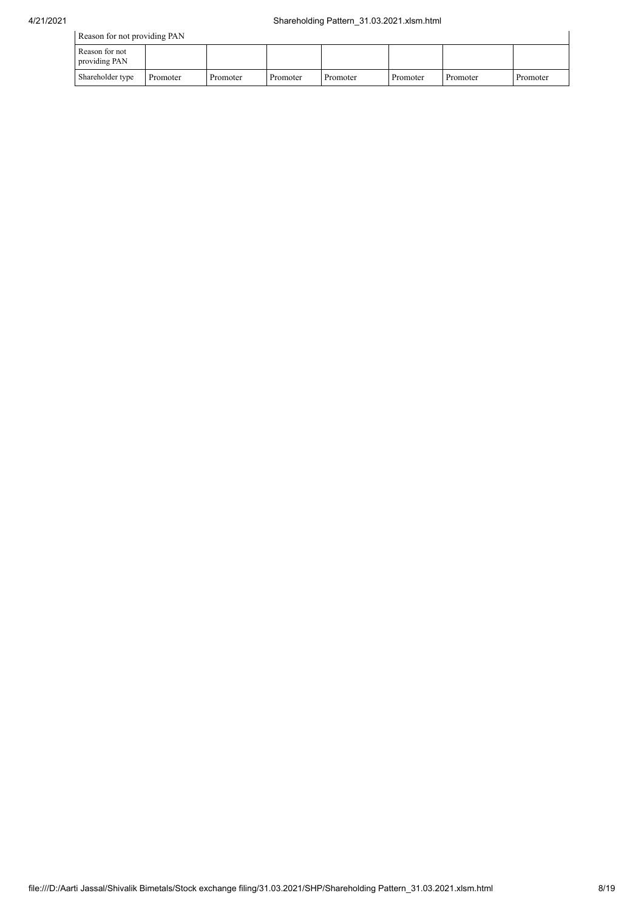|                                 | Reason for not providing PAN |          |          |          |          |          |          |  |  |  |  |
|---------------------------------|------------------------------|----------|----------|----------|----------|----------|----------|--|--|--|--|
| Reason for not<br>providing PAN |                              |          |          |          |          |          |          |  |  |  |  |
| Shareholder type                | Promoter                     | Promoter | Promoter | Promoter | Promoter | Promoter | Promoter |  |  |  |  |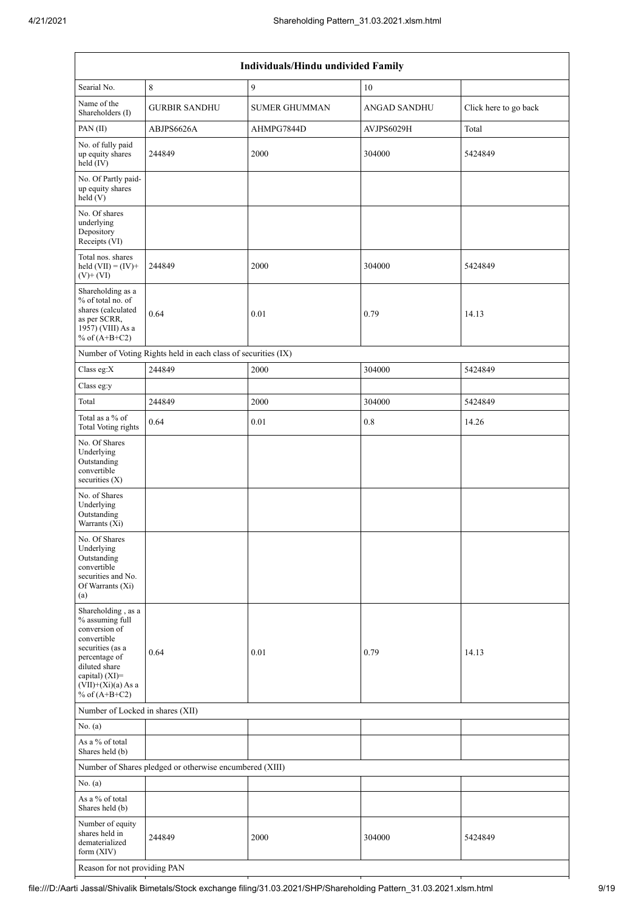|                                                                                                                                                                                          | Individuals/Hindu undivided Family                            |                      |                     |                       |  |  |  |  |  |  |  |  |
|------------------------------------------------------------------------------------------------------------------------------------------------------------------------------------------|---------------------------------------------------------------|----------------------|---------------------|-----------------------|--|--|--|--|--|--|--|--|
| Searial No.                                                                                                                                                                              | 8                                                             | 9                    | 10                  |                       |  |  |  |  |  |  |  |  |
| Name of the<br>Shareholders (I)                                                                                                                                                          | <b>GURBIR SANDHU</b>                                          | <b>SUMER GHUMMAN</b> | <b>ANGAD SANDHU</b> | Click here to go back |  |  |  |  |  |  |  |  |
| PAN (II)                                                                                                                                                                                 | ABJPS6626A                                                    | AHMPG7844D           | AVJPS6029H          | Total                 |  |  |  |  |  |  |  |  |
| No. of fully paid<br>up equity shares<br>held (IV)                                                                                                                                       | 244849                                                        | 2000                 | 304000              | 5424849               |  |  |  |  |  |  |  |  |
| No. Of Partly paid-<br>up equity shares<br>held(V)                                                                                                                                       |                                                               |                      |                     |                       |  |  |  |  |  |  |  |  |
| No. Of shares<br>underlying<br>Depository<br>Receipts (VI)                                                                                                                               |                                                               |                      |                     |                       |  |  |  |  |  |  |  |  |
| Total nos. shares<br>held $(VII) = (IV) +$<br>$(V)$ + $(VI)$                                                                                                                             | 244849                                                        | 2000                 | 304000              | 5424849               |  |  |  |  |  |  |  |  |
| Shareholding as a<br>% of total no. of<br>shares (calculated<br>as per SCRR,<br>1957) (VIII) As a<br>% of $(A+B+C2)$                                                                     | 0.64                                                          | 0.01                 | 0.79                | 14.13                 |  |  |  |  |  |  |  |  |
|                                                                                                                                                                                          | Number of Voting Rights held in each class of securities (IX) |                      |                     |                       |  |  |  |  |  |  |  |  |
| Class eg:X                                                                                                                                                                               | 244849                                                        | 2000                 | 304000              | 5424849               |  |  |  |  |  |  |  |  |
| Class eg:y                                                                                                                                                                               |                                                               |                      |                     |                       |  |  |  |  |  |  |  |  |
| Total                                                                                                                                                                                    | 244849                                                        | 2000                 | 304000              | 5424849               |  |  |  |  |  |  |  |  |
| Total as a % of<br><b>Total Voting rights</b>                                                                                                                                            | 0.64                                                          | 0.01                 | 0.8                 | 14.26                 |  |  |  |  |  |  |  |  |
| No. Of Shares<br>Underlying<br>Outstanding<br>convertible<br>securities $(X)$                                                                                                            |                                                               |                      |                     |                       |  |  |  |  |  |  |  |  |
| No. of Shares<br>Underlying<br>Outstanding<br>Warrants (Xi)                                                                                                                              |                                                               |                      |                     |                       |  |  |  |  |  |  |  |  |
| No. Of Shares<br>Underlying<br>Outstanding<br>convertible<br>securities and No.<br>Of Warrants (Xi)<br>(a)                                                                               |                                                               |                      |                     |                       |  |  |  |  |  |  |  |  |
| Shareholding, as a<br>% assuming full<br>conversion of<br>convertible<br>securities (as a<br>percentage of<br>diluted share<br>capital) (XI)=<br>$(VII)+(Xi)(a)$ As a<br>% of $(A+B+C2)$ | 0.64                                                          | 0.01                 | 0.79                | 14.13                 |  |  |  |  |  |  |  |  |
| Number of Locked in shares (XII)                                                                                                                                                         |                                                               |                      |                     |                       |  |  |  |  |  |  |  |  |
| No. (a)                                                                                                                                                                                  |                                                               |                      |                     |                       |  |  |  |  |  |  |  |  |
| As a % of total<br>Shares held (b)                                                                                                                                                       |                                                               |                      |                     |                       |  |  |  |  |  |  |  |  |
|                                                                                                                                                                                          | Number of Shares pledged or otherwise encumbered (XIII)       |                      |                     |                       |  |  |  |  |  |  |  |  |
| No. $(a)$                                                                                                                                                                                |                                                               |                      |                     |                       |  |  |  |  |  |  |  |  |
| As a % of total<br>Shares held (b)                                                                                                                                                       |                                                               |                      |                     |                       |  |  |  |  |  |  |  |  |
| Number of equity<br>shares held in<br>dematerialized<br>form $(XIV)$                                                                                                                     | 244849                                                        | 2000                 | 304000              | 5424849               |  |  |  |  |  |  |  |  |
| Reason for not providing PAN                                                                                                                                                             |                                                               |                      |                     |                       |  |  |  |  |  |  |  |  |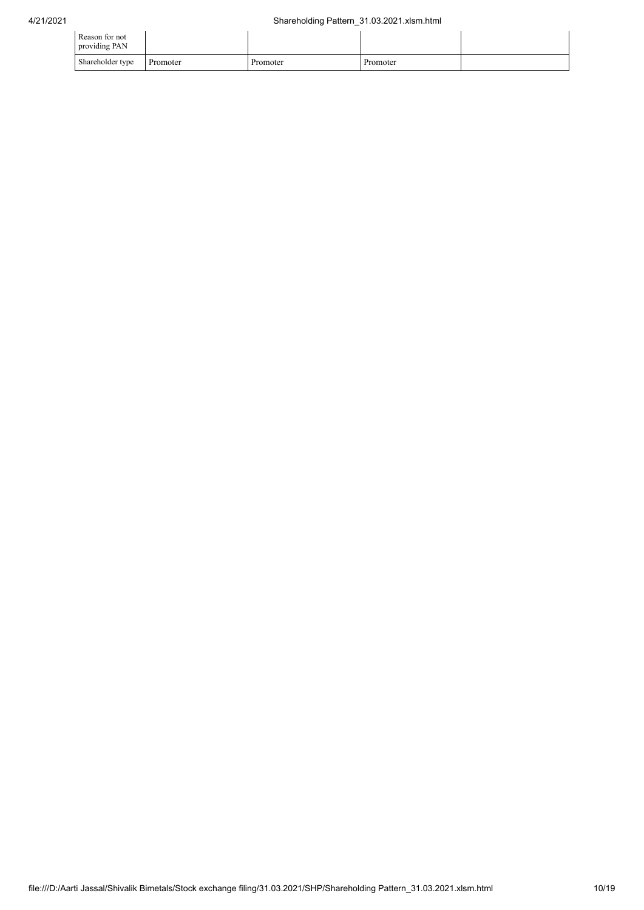| Reason for not<br>providing PAN |          |          |          |  |
|---------------------------------|----------|----------|----------|--|
| Shareholder type                | Promoter | Promoter | Promoter |  |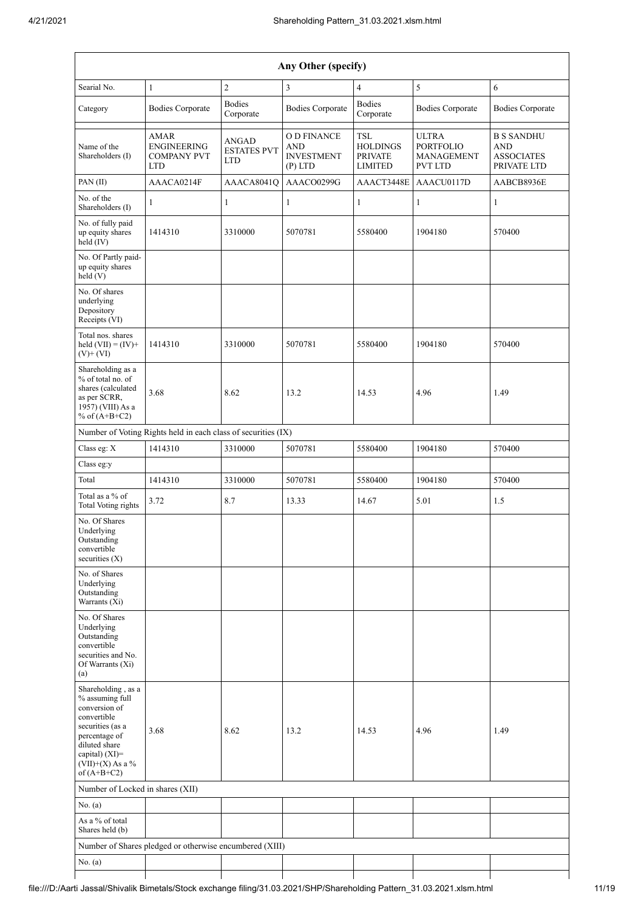| Any Other (specify)                                                                                                                                                                     |                                                                       |                                           |                                                             |                                                                   |                                                                  |                                                                     |  |  |  |  |  |
|-----------------------------------------------------------------------------------------------------------------------------------------------------------------------------------------|-----------------------------------------------------------------------|-------------------------------------------|-------------------------------------------------------------|-------------------------------------------------------------------|------------------------------------------------------------------|---------------------------------------------------------------------|--|--|--|--|--|
| Searial No.                                                                                                                                                                             | $\mathbf{1}$                                                          | $\overline{2}$                            | 3                                                           | $\overline{4}$                                                    | 5                                                                | 6                                                                   |  |  |  |  |  |
| Category                                                                                                                                                                                | <b>Bodies Corporate</b>                                               | <b>Bodies</b><br>Corporate                | <b>Bodies Corporate</b>                                     | <b>Bodies</b><br>Corporate                                        | <b>Bodies Corporate</b>                                          | <b>Bodies Corporate</b>                                             |  |  |  |  |  |
| Name of the<br>Shareholders (I)                                                                                                                                                         | <b>AMAR</b><br><b>ENGINEERING</b><br><b>COMPANY PVT</b><br><b>LTD</b> | ANGAD<br><b>ESTATES PVT</b><br><b>LTD</b> | O D FINANCE<br><b>AND</b><br><b>INVESTMENT</b><br>$(P)$ LTD | <b>TSL</b><br><b>HOLDINGS</b><br><b>PRIVATE</b><br><b>LIMITED</b> | <b>ULTRA</b><br><b>PORTFOLIO</b><br>MANAGEMENT<br><b>PVT LTD</b> | <b>B S SANDHU</b><br><b>AND</b><br><b>ASSOCIATES</b><br>PRIVATE LTD |  |  |  |  |  |
| PAN (II)                                                                                                                                                                                | AAACA0214F                                                            | AAACA8041Q                                | AAACO0299G                                                  | AAACT3448E                                                        | AAACU0117D                                                       | AABCB8936E                                                          |  |  |  |  |  |
| No. of the<br>Shareholders (I)                                                                                                                                                          | $\mathbf{1}$                                                          | 1                                         | $\mathbf{1}$                                                | $\mathbf{1}$                                                      | $\mathbf{1}$                                                     | $\mathbf{1}$                                                        |  |  |  |  |  |
| No. of fully paid<br>up equity shares<br>held (IV)                                                                                                                                      | 1414310                                                               | 3310000                                   | 5070781                                                     | 5580400                                                           | 1904180                                                          | 570400                                                              |  |  |  |  |  |
| No. Of Partly paid-<br>up equity shares<br>held(V)                                                                                                                                      |                                                                       |                                           |                                                             |                                                                   |                                                                  |                                                                     |  |  |  |  |  |
| No. Of shares<br>underlying<br>Depository<br>Receipts (VI)                                                                                                                              |                                                                       |                                           |                                                             |                                                                   |                                                                  |                                                                     |  |  |  |  |  |
| Total nos. shares<br>held $(VII) = (IV) +$<br>$(V)$ + $(VI)$                                                                                                                            | 1414310                                                               | 3310000                                   | 5070781                                                     | 5580400                                                           | 1904180                                                          | 570400                                                              |  |  |  |  |  |
| Shareholding as a<br>% of total no. of<br>shares (calculated<br>as per SCRR,<br>1957) (VIII) As a<br>% of $(A+B+C2)$                                                                    | 3.68                                                                  | 8.62                                      | 13.2                                                        | 14.53                                                             | 4.96                                                             | 1.49                                                                |  |  |  |  |  |
|                                                                                                                                                                                         | Number of Voting Rights held in each class of securities (IX)         |                                           |                                                             |                                                                   |                                                                  |                                                                     |  |  |  |  |  |
| Class eg: X                                                                                                                                                                             | 1414310                                                               | 3310000                                   | 5070781                                                     | 5580400                                                           | 1904180                                                          | 570400                                                              |  |  |  |  |  |
| Class eg:y                                                                                                                                                                              |                                                                       |                                           |                                                             |                                                                   |                                                                  |                                                                     |  |  |  |  |  |
| Total                                                                                                                                                                                   | 1414310                                                               | 3310000                                   | 5070781                                                     | 5580400                                                           | 1904180                                                          | 570400                                                              |  |  |  |  |  |
| Total as a % of<br>Total Voting rights                                                                                                                                                  | 3.72                                                                  | 8.7                                       | 13.33                                                       | 14.67                                                             | 5.01                                                             | 1.5                                                                 |  |  |  |  |  |
| No. Of Shares<br>Underlying<br>Outstanding<br>convertible<br>securities $(X)$                                                                                                           |                                                                       |                                           |                                                             |                                                                   |                                                                  |                                                                     |  |  |  |  |  |
| No. of Shares<br>Underlying<br>Outstanding<br>Warrants (Xi)                                                                                                                             |                                                                       |                                           |                                                             |                                                                   |                                                                  |                                                                     |  |  |  |  |  |
| No. Of Shares<br>Underlying<br>Outstanding<br>convertible<br>securities and No.<br>Of Warrants (Xi)<br>(a)                                                                              |                                                                       |                                           |                                                             |                                                                   |                                                                  |                                                                     |  |  |  |  |  |
| Shareholding, as a<br>% assuming full<br>conversion of<br>convertible<br>securities (as a<br>percentage of<br>diluted share<br>capital) $(XI)$ =<br>$(VII)+(X)$ As a %<br>of $(A+B+C2)$ | 3.68                                                                  | 8.62                                      | 13.2                                                        | 14.53                                                             | 4.96                                                             | 1.49                                                                |  |  |  |  |  |
| Number of Locked in shares (XII)                                                                                                                                                        |                                                                       |                                           |                                                             |                                                                   |                                                                  |                                                                     |  |  |  |  |  |
| No. (a)                                                                                                                                                                                 |                                                                       |                                           |                                                             |                                                                   |                                                                  |                                                                     |  |  |  |  |  |
| As a % of total<br>Shares held (b)                                                                                                                                                      |                                                                       |                                           |                                                             |                                                                   |                                                                  |                                                                     |  |  |  |  |  |
|                                                                                                                                                                                         | Number of Shares pledged or otherwise encumbered (XIII)               |                                           |                                                             |                                                                   |                                                                  |                                                                     |  |  |  |  |  |
| No. $(a)$                                                                                                                                                                               |                                                                       |                                           |                                                             |                                                                   |                                                                  |                                                                     |  |  |  |  |  |
|                                                                                                                                                                                         |                                                                       |                                           |                                                             |                                                                   |                                                                  |                                                                     |  |  |  |  |  |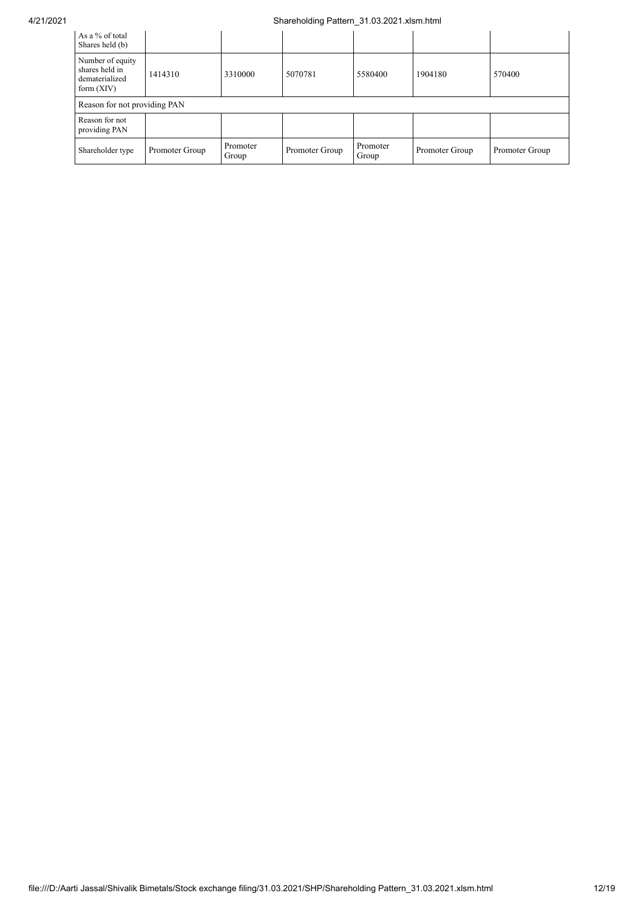## 4/21/2021 Shareholding Pattern\_31.03.2021.xlsm.html

| As a % of total<br>Shares held (b)                                   |                |                   |                |                   |                |                |  |  |  |
|----------------------------------------------------------------------|----------------|-------------------|----------------|-------------------|----------------|----------------|--|--|--|
| Number of equity<br>shares held in<br>dematerialized<br>form $(XIV)$ | 1414310        | 3310000           | 5070781        | 5580400           | 1904180        | 570400         |  |  |  |
| Reason for not providing PAN                                         |                |                   |                |                   |                |                |  |  |  |
| Reason for not<br>providing PAN                                      |                |                   |                |                   |                |                |  |  |  |
| Shareholder type                                                     | Promoter Group | Promoter<br>Group | Promoter Group | Promoter<br>Group | Promoter Group | Promoter Group |  |  |  |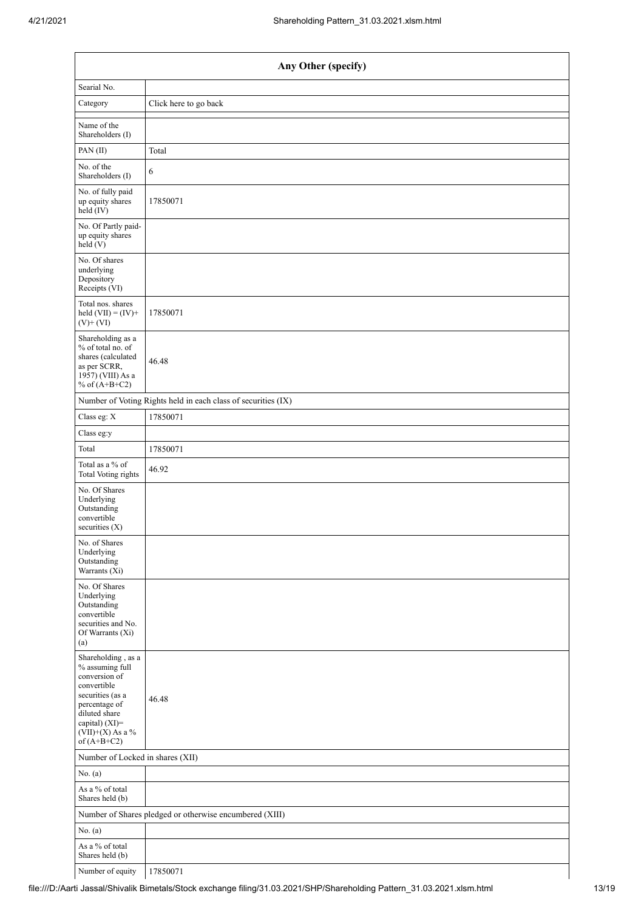| Any Other (specify)                                                                                                                                                                  |                                                               |  |  |  |  |  |
|--------------------------------------------------------------------------------------------------------------------------------------------------------------------------------------|---------------------------------------------------------------|--|--|--|--|--|
| Searial No.                                                                                                                                                                          |                                                               |  |  |  |  |  |
| Category                                                                                                                                                                             | Click here to go back                                         |  |  |  |  |  |
| Name of the<br>Shareholders (I)                                                                                                                                                      |                                                               |  |  |  |  |  |
| PAN (II)                                                                                                                                                                             | Total                                                         |  |  |  |  |  |
| No. of the<br>Shareholders (I)                                                                                                                                                       | 6                                                             |  |  |  |  |  |
| No. of fully paid<br>up equity shares<br>held (IV)                                                                                                                                   | 17850071                                                      |  |  |  |  |  |
| No. Of Partly paid-<br>up equity shares<br>held(V)                                                                                                                                   |                                                               |  |  |  |  |  |
| No. Of shares<br>underlying<br>Depository<br>Receipts (VI)                                                                                                                           |                                                               |  |  |  |  |  |
| Total nos. shares<br>held $(VII) = (IV) +$<br>$(V)$ + $(VI)$                                                                                                                         | 17850071                                                      |  |  |  |  |  |
| Shareholding as a<br>% of total no. of<br>shares (calculated<br>as per SCRR,<br>1957) (VIII) As a<br>% of $(A+B+C2)$                                                                 | 46.48                                                         |  |  |  |  |  |
|                                                                                                                                                                                      | Number of Voting Rights held in each class of securities (IX) |  |  |  |  |  |
| Class eg: $\mathbf X$                                                                                                                                                                | 17850071                                                      |  |  |  |  |  |
| Class eg:y                                                                                                                                                                           |                                                               |  |  |  |  |  |
| Total                                                                                                                                                                                | 17850071                                                      |  |  |  |  |  |
| Total as a % of<br><b>Total Voting rights</b>                                                                                                                                        | 46.92                                                         |  |  |  |  |  |
| No. Of Shares<br>Underlying<br>Outstanding<br>convertible<br>securities $(X)$                                                                                                        |                                                               |  |  |  |  |  |
| No. of Shares<br>Underlying<br>Outstanding<br>Warrants (Xi)                                                                                                                          |                                                               |  |  |  |  |  |
| No. Of Shares<br>Underlying<br>Outstanding<br>convertible<br>securities and No.<br>Of Warrants (Xi)<br>(a)                                                                           |                                                               |  |  |  |  |  |
| Shareholding, as a<br>% assuming full<br>conversion of<br>convertible<br>securities (as a<br>percentage of<br>diluted share<br>capital) (XI)=<br>$(VII)+(X)$ As a %<br>of $(A+B+C2)$ | 46.48                                                         |  |  |  |  |  |
| Number of Locked in shares (XII)                                                                                                                                                     |                                                               |  |  |  |  |  |
| No. (a)                                                                                                                                                                              |                                                               |  |  |  |  |  |
| As a $\%$ of total<br>Shares held (b)                                                                                                                                                |                                                               |  |  |  |  |  |
|                                                                                                                                                                                      | Number of Shares pledged or otherwise encumbered (XIII)       |  |  |  |  |  |
| No. $(a)$                                                                                                                                                                            |                                                               |  |  |  |  |  |
| As a $\%$ of total<br>Shares held (b)                                                                                                                                                |                                                               |  |  |  |  |  |
| Number of equity                                                                                                                                                                     | 17850071                                                      |  |  |  |  |  |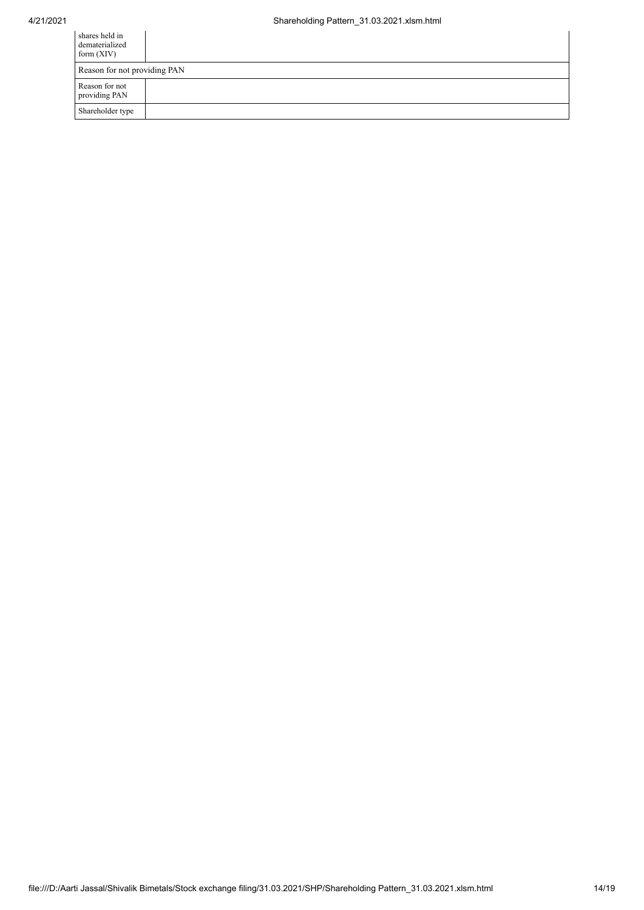| shares held in<br>dematerialized<br>form $(XIV)$ |  |  |  |  |
|--------------------------------------------------|--|--|--|--|
| Reason for not providing PAN                     |  |  |  |  |
| Reason for not<br>providing PAN                  |  |  |  |  |
| Shareholder type                                 |  |  |  |  |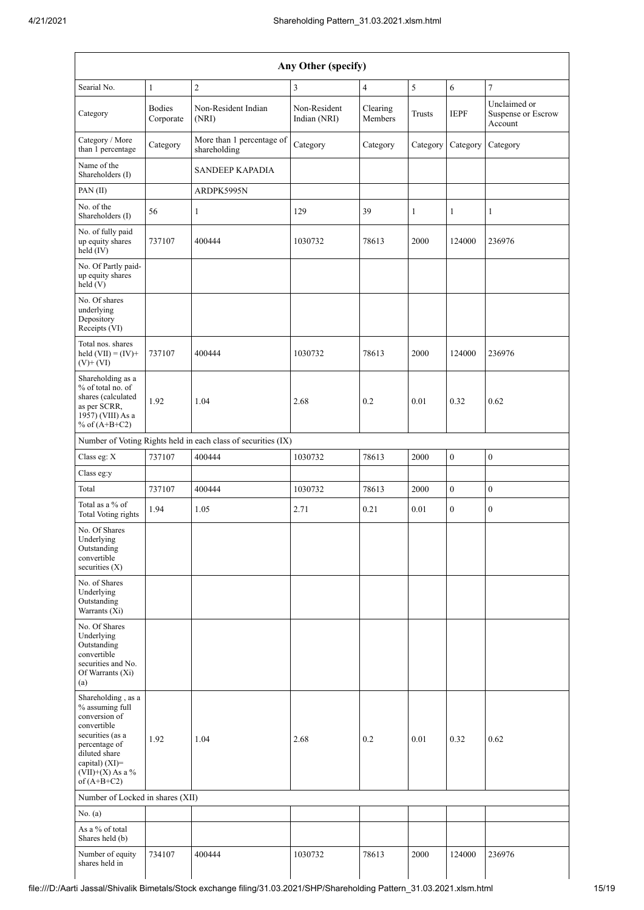| Any Other (specify)                                                                                                                                                                  |                            |                                                               |                              |                     |               |                  |                                               |  |
|--------------------------------------------------------------------------------------------------------------------------------------------------------------------------------------|----------------------------|---------------------------------------------------------------|------------------------------|---------------------|---------------|------------------|-----------------------------------------------|--|
| Searial No.                                                                                                                                                                          | $\mathbf{1}$               | $\overline{2}$                                                | 3                            | $\overline{4}$      | 5             | 6                | $\overline{7}$                                |  |
| Category                                                                                                                                                                             | <b>Bodies</b><br>Corporate | Non-Resident Indian<br>(NRI)                                  | Non-Resident<br>Indian (NRI) | Clearing<br>Members | <b>Trusts</b> | <b>IEPF</b>      | Unclaimed or<br>Suspense or Escrow<br>Account |  |
| Category / More<br>than 1 percentage                                                                                                                                                 | Category                   | More than 1 percentage of<br>shareholding                     | Category                     | Category            | Category      | Category         | Category                                      |  |
| Name of the<br>Shareholders (I)                                                                                                                                                      |                            | <b>SANDEEP KAPADIA</b>                                        |                              |                     |               |                  |                                               |  |
| PAN (II)                                                                                                                                                                             |                            | ARDPK5995N                                                    |                              |                     |               |                  |                                               |  |
| No. of the<br>Shareholders (I)                                                                                                                                                       | 56                         | $\mathbf{1}$                                                  | 129                          | 39                  | $\mathbf{1}$  | $\mathbf{1}$     | $\mathbf{1}$                                  |  |
| No. of fully paid<br>up equity shares<br>held (IV)                                                                                                                                   | 737107                     | 400444                                                        | 1030732                      | 78613               | 2000          | 124000           | 236976                                        |  |
| No. Of Partly paid-<br>up equity shares<br>held (V)                                                                                                                                  |                            |                                                               |                              |                     |               |                  |                                               |  |
| No. Of shares<br>underlying<br>Depository<br>Receipts (VI)                                                                                                                           |                            |                                                               |                              |                     |               |                  |                                               |  |
| Total nos. shares<br>held $(VII) = (IV) +$<br>$(V)$ + $(VI)$                                                                                                                         | 737107                     | 400444                                                        | 1030732                      | 78613               | 2000          | 124000           | 236976                                        |  |
| Shareholding as a<br>% of total no. of<br>shares (calculated<br>as per SCRR,<br>1957) (VIII) As a<br>% of $(A+B+C2)$                                                                 | 1.92                       | 1.04                                                          | 2.68                         | 0.2                 | 0.01          | 0.32             | 0.62                                          |  |
|                                                                                                                                                                                      |                            | Number of Voting Rights held in each class of securities (IX) |                              |                     |               |                  |                                               |  |
| Class eg: X                                                                                                                                                                          | 737107                     | 400444                                                        | 1030732                      | 78613               | 2000          | $\overline{0}$   | $\boldsymbol{0}$                              |  |
| Class eg:y                                                                                                                                                                           |                            |                                                               |                              |                     |               |                  |                                               |  |
| Total                                                                                                                                                                                | 737107                     | 400444                                                        | 1030732                      | 78613               | 2000          | $\boldsymbol{0}$ | $\boldsymbol{0}$                              |  |
| Total as a % of<br>Total Voting rights                                                                                                                                               | 1.94                       | 1.05                                                          | 2.71                         | 0.21                | 0.01          | $\overline{0}$   | $\overline{0}$                                |  |
| No. Of Shares<br>Underlying<br>Outstanding<br>convertible<br>securities $(X)$                                                                                                        |                            |                                                               |                              |                     |               |                  |                                               |  |
| No. of Shares<br>Underlying<br>Outstanding<br>Warrants (Xi)                                                                                                                          |                            |                                                               |                              |                     |               |                  |                                               |  |
| No. Of Shares<br>Underlying<br>Outstanding<br>convertible<br>securities and No.<br>Of Warrants (Xi)<br>(a)                                                                           |                            |                                                               |                              |                     |               |                  |                                               |  |
| Shareholding, as a<br>% assuming full<br>conversion of<br>convertible<br>securities (as a<br>percentage of<br>diluted share<br>capital) (XI)=<br>$(VII)+(X)$ As a %<br>of $(A+B+C2)$ | 1.92                       | 1.04                                                          | 2.68                         | 0.2                 | 0.01          | 0.32             | 0.62                                          |  |
| Number of Locked in shares (XII)                                                                                                                                                     |                            |                                                               |                              |                     |               |                  |                                               |  |
| No. (a)                                                                                                                                                                              |                            |                                                               |                              |                     |               |                  |                                               |  |
| As a % of total<br>Shares held (b)                                                                                                                                                   |                            |                                                               |                              |                     |               |                  |                                               |  |
| Number of equity<br>shares held in                                                                                                                                                   | 734107                     | 400444                                                        | 1030732                      | 78613               | 2000          | 124000           | 236976                                        |  |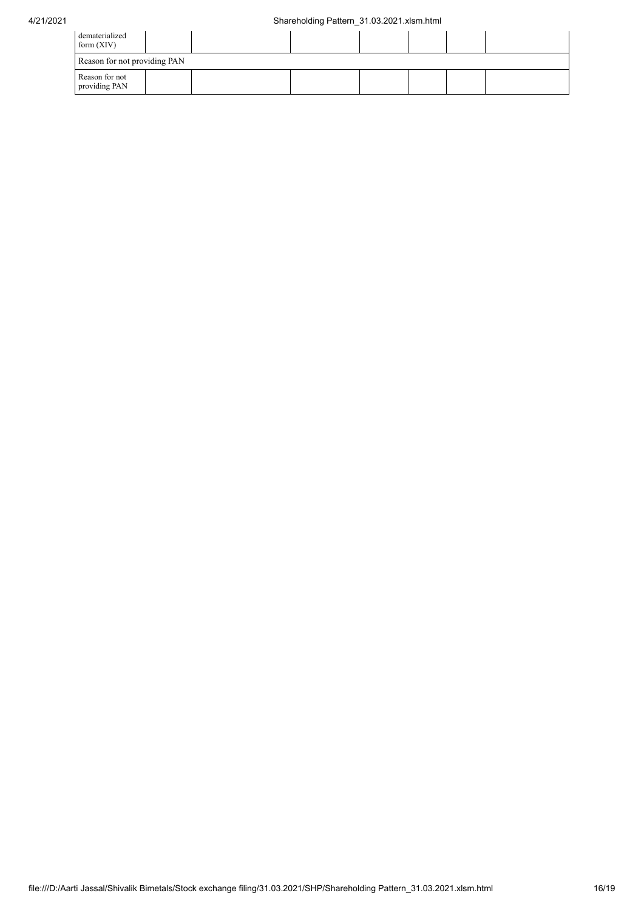## 4/21/2021 Shareholding Pattern\_31.03.2021.xlsm.html

| dematerialized<br>form $(XIV)$  |  |  |  |  |  |  |  |
|---------------------------------|--|--|--|--|--|--|--|
| Reason for not providing PAN    |  |  |  |  |  |  |  |
| Reason for not<br>providing PAN |  |  |  |  |  |  |  |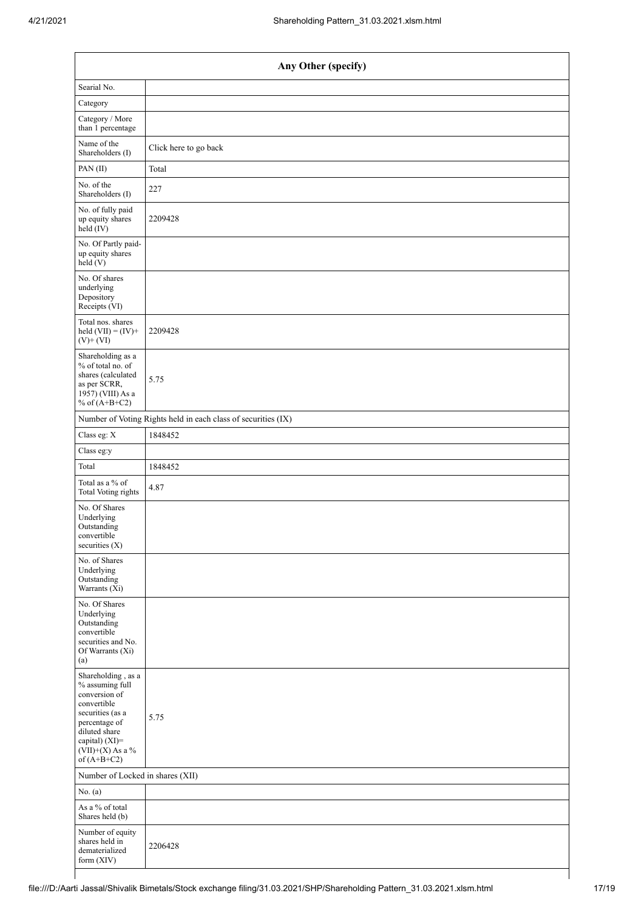| Any Other (specify)                                                                                                                                                                  |                                                               |  |  |  |  |
|--------------------------------------------------------------------------------------------------------------------------------------------------------------------------------------|---------------------------------------------------------------|--|--|--|--|
| Searial No.                                                                                                                                                                          |                                                               |  |  |  |  |
| Category                                                                                                                                                                             |                                                               |  |  |  |  |
| Category / More<br>than 1 percentage                                                                                                                                                 |                                                               |  |  |  |  |
| Name of the<br>Shareholders (I)                                                                                                                                                      | Click here to go back                                         |  |  |  |  |
| PAN (II)                                                                                                                                                                             | Total                                                         |  |  |  |  |
| No. of the<br>Shareholders (I)                                                                                                                                                       | 227                                                           |  |  |  |  |
| No. of fully paid<br>up equity shares<br>held (IV)                                                                                                                                   | 2209428                                                       |  |  |  |  |
| No. Of Partly paid-<br>up equity shares<br>held (V)                                                                                                                                  |                                                               |  |  |  |  |
| No. Of shares<br>underlying<br>Depository<br>Receipts (VI)                                                                                                                           |                                                               |  |  |  |  |
| Total nos. shares<br>held $(VII) = (IV) +$<br>$(V)+(VI)$                                                                                                                             | 2209428                                                       |  |  |  |  |
| Shareholding as a<br>% of total no. of<br>shares (calculated<br>as per SCRR,<br>1957) (VIII) As a<br>% of $(A+B+C2)$                                                                 | 5.75                                                          |  |  |  |  |
|                                                                                                                                                                                      | Number of Voting Rights held in each class of securities (IX) |  |  |  |  |
| Class eg: X                                                                                                                                                                          | 1848452                                                       |  |  |  |  |
| Class eg:y                                                                                                                                                                           |                                                               |  |  |  |  |
| Total                                                                                                                                                                                | 1848452                                                       |  |  |  |  |
| Total as a % of<br><b>Total Voting rights</b>                                                                                                                                        | 4.87                                                          |  |  |  |  |
| No. Of Shares<br>Underlying<br>Outstanding<br>convertible<br>securities (X)                                                                                                          |                                                               |  |  |  |  |
| No. of Shares<br>Underlying<br>Outstanding<br>Warrants (Xi)                                                                                                                          |                                                               |  |  |  |  |
| No. Of Shares<br>Underlying<br>Outstanding<br>convertible<br>securities and No.<br>Of Warrants (Xi)<br>(a)                                                                           |                                                               |  |  |  |  |
| Shareholding, as a<br>% assuming full<br>conversion of<br>convertible<br>securities (as a<br>percentage of<br>diluted share<br>capital) (XI)=<br>$(VII)+(X)$ As a %<br>of $(A+B+C2)$ | 5.75                                                          |  |  |  |  |
| Number of Locked in shares (XII)                                                                                                                                                     |                                                               |  |  |  |  |
| No. (a)                                                                                                                                                                              |                                                               |  |  |  |  |
| As a % of total<br>Shares held (b)                                                                                                                                                   |                                                               |  |  |  |  |
| Number of equity<br>shares held in<br>dematerialized<br>form (XIV)                                                                                                                   | 2206428                                                       |  |  |  |  |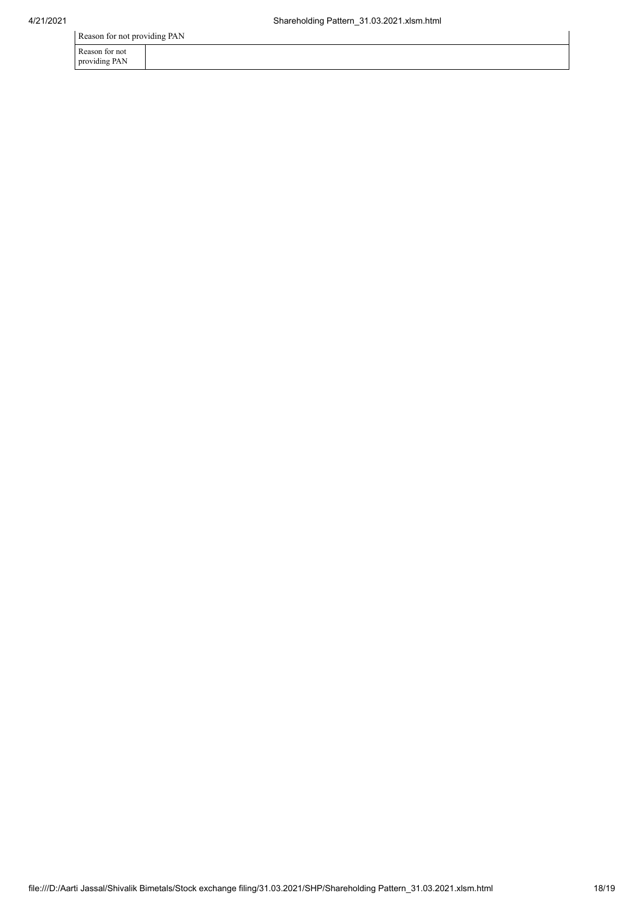Reason for not providing PAN

| Reason for not |  |  |  |
|----------------|--|--|--|

providing PAN